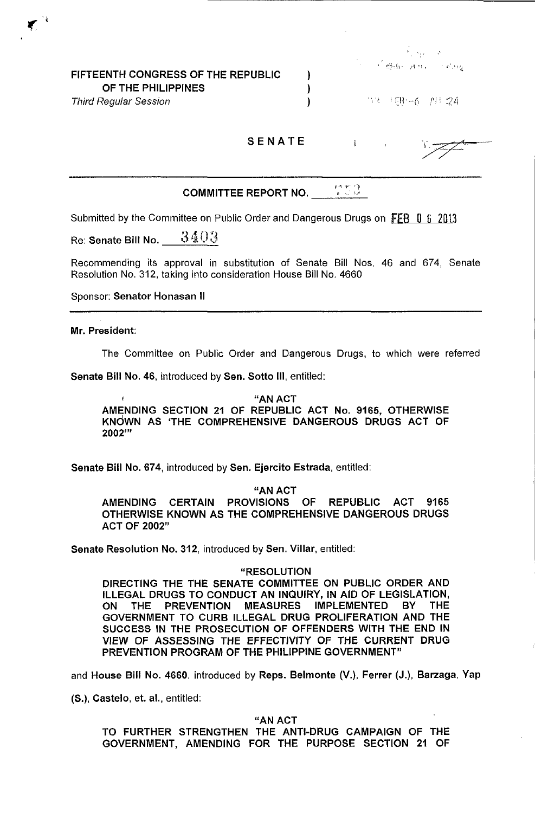## FIFTEENTH CONGRESS OF THE REPUBLIC OF THE PHILIPPINES

Third Regular Session

 $\mathcal{P}_{\mathcal{A}}^{\mathcal{A}}(\mathcal{A}_{\mathcal{A},\mathcal{B}}^{\mathcal{A}})$  ,  $\mathcal{P}_{\mathcal{A}}^{\mathcal{A}}$ ់ @ើម្ដុះ អ្នក ស្រស្

33 HR-6 AH 24

SENATE

 $\lambda$ ) )

 $\ddot{\mathrm{r}}$ 

 $\begin{pmatrix} 1 & \mathbf{1} & \mathbf{1} & \mathbf{1} & \mathbf{1} & \mathbf{1} & \mathbf{1} & \mathbf{1} & \mathbf{1} & \mathbf{1} & \mathbf{1} & \mathbf{1} & \mathbf{1} & \mathbf{1} & \mathbf{1} & \mathbf{1} & \mathbf{1} & \mathbf{1} & \mathbf{1} & \mathbf{1} & \mathbf{1} & \mathbf{1} & \mathbf{1} & \mathbf{1} & \mathbf{1} & \mathbf{1} & \mathbf{1} & \mathbf{1} & \mathbf{1} & \mathbf{1} & \mathbf{1} & \$ COMMITTEE REPORT NO.

Submitted by the Committee on Public Order and Dangerous Drugs on FEB 0 6 2013

Re: Senate Bill No.  $3403$ 

Recommending its approval in substitution of Senate Bill Nos, 46 and 674, Senate Resolution No. 312, taking into consideration House Bill No. 4660

Sponsor: Senator Honasan II

Mr. President:

The Committee on Public Order and Dangerous Drugs, to which were referred

Senate Bill No. 46, introduced by Sen. Sotto III, entitled:

 $\mathbf{f}$ "AN ACT AMENDING SECTION 21 OF REPUBLIC ACT No. 9165, OTHERWISE KNdwN AS 'THE COMPREHENSIVE DANGEROUS DRUGS ACT OF 2002'"

Senate Bill No. 674, introduced by Sen. Ejercito Estrada, entitled:

"AN ACT

AMENDING CERTAIN PROVISIONS OF REPUBLIC ACT 9165 OTHERWISE KNOWN AS THE COMPREHENSIVE DANGEROUS DRUGS ACT OF 2002"

Senate Resolution No. 312, introduced by Sen. Villar, entitled:

"RESOLUTION

DIRECTING THE THE SENATE COMMITTEE ON PUBLIC ORDER AND ILLEGAL DRUGS TO CONDUCT AN INQUIRY, IN AID OF LEGISLATION,<br>ON THE PREVENTION MEASURES IMPLEMENTED BY THE ON THE PREVENTION MEASURES IMPLEMENTED BY THE GOVERNMENT TO CURB ILLEGAL DRUG PROLIFERATION AND THE SUCCESS IN THE PROSECUTION OF OFFENDERS WITH THE END IN VIEW OF ASSESSING THE EFFECTIVITY OF THE CURRENT DRUG PREVENTION PROGRAM OF THE PHILIPPINE GOVERNMENT"

and House Bill No. 4660, introduced by Reps. Belmonte (V.), Ferrer (J.), 8arzaga, Yap

(S,), Castelo, et. aI., entitled:

"AN ACT

TO FURTHER STRENGTHEN THE ANTI-DRUG CAMPAIGN OF THE GOVERNMENT, AMENDING FOR THE PURPOSE SECTION 21 OF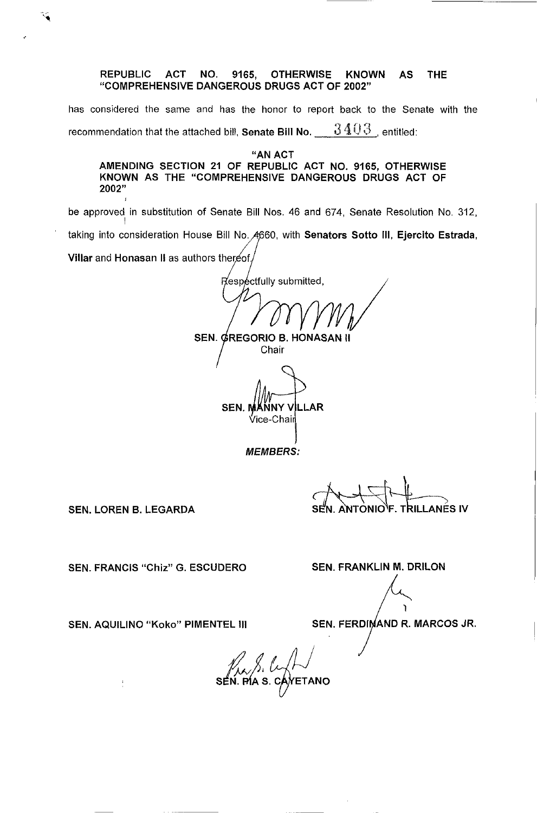## REPUBLIC ACT NO. 9165, OTHERWISE KNOWN AS THE "COMPREHENSIVE DANGEROUS DRUGS ACT OF 2002"

has considered the same and has the honor to report back to the Senate with the recommendation that the attached bill, **Senate Bill No.** 3403, entitled:

"AN ACT AMENDING SECTION 21 OF REPUBLIC ACT NO. 9165, OTHERWISE KNOWN AS THE "COMPREHENSIVE DANGEROUS DRUGS ACT OF 2002"

be approved in substitution of Senate Bill Nos. 46 and 674, Senate Resolution No. 312, I taking into consideration House Bill No. 4660, with Senators Sotto III, Ejercito Estrada,

Villar and Honasan II as authors thereof.

Respectfully submitted, SEN. GREGORIO B. HONASAN II

Chair

SEN. VNY V LLAR **Vice-Chair** 

MEMBERS:

 $\begin{picture}(180,10) \put(0,0){\line(1,0){15}} \put(1,0){\line(1,0){15}} \put(1,0){\line(1,0){15}} \put(1,0){\line(1,0){15}} \put(1,0){\line(1,0){15}} \put(1,0){\line(1,0){15}} \put(1,0){\line(1,0){15}} \put(1,0){\line(1,0){15}} \put(1,0){\line(1,0){15}} \put(1,0){\line(1,0){15}} \put(1,0){\line(1,0){15}} \put(1,0){\line(1,0){15}} \put(1$ 

SEN. LOREN B. LEGARDA

 $\frac{1}{\epsilon}$ 

SEN. FRANCIS "Chiz" G. ESCUDERO SEN. FRANKLIN M. DRILON

SEN. AQUILINO "Koko" PIMENTEL III SEN. FERDINAND R. MARCOS JR.

1

SEN. PAS. CANETANO